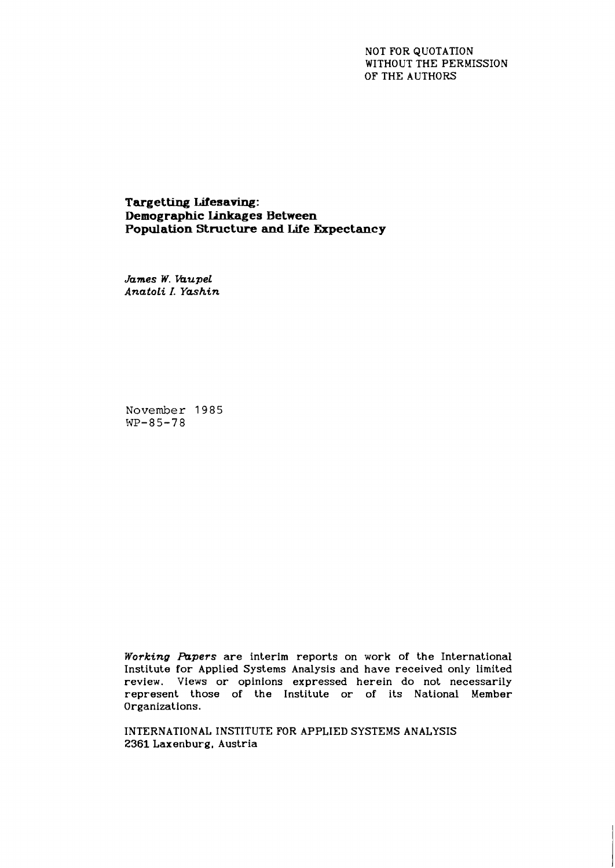# NOT FOR QUOTATION WITHOUT THE PERMISSION OF THE AUTHORS

**Targetting Lifesaving: Demographic ljnkages Between Population Structure and Life Expectancy** 

*James W. kupel Anatoli I. Yashin* 

**November** 1985 WP-85-78

*Working Papers* are interim reports on work of the International Institute for Applied Systems Analysis and have received only limited review. Views or opinions expressed herein do not necessarily represent those of the Institute or of its National Member Organizations.

INTERNATIONAL INSTITUTE **FOR** APPLIED SYSTEMS ANALYSIS 2361 Laxenburg, Austria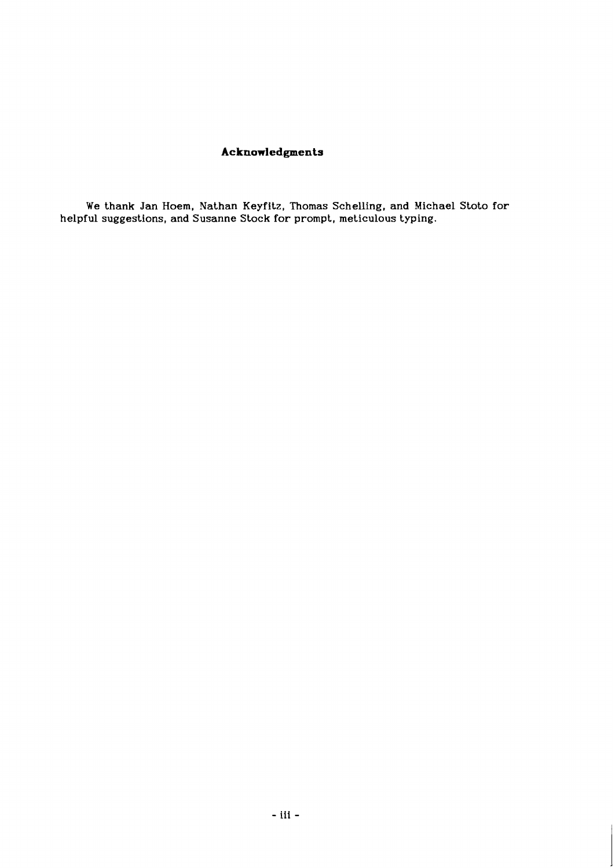# **Acknowledgments**

**We thank Jan Hoem, Nathan Keyfitz, Thomas Schelling, and Michael Stoto for helpful suggestions, and Susanne Stock for prompt, meticulous typing.**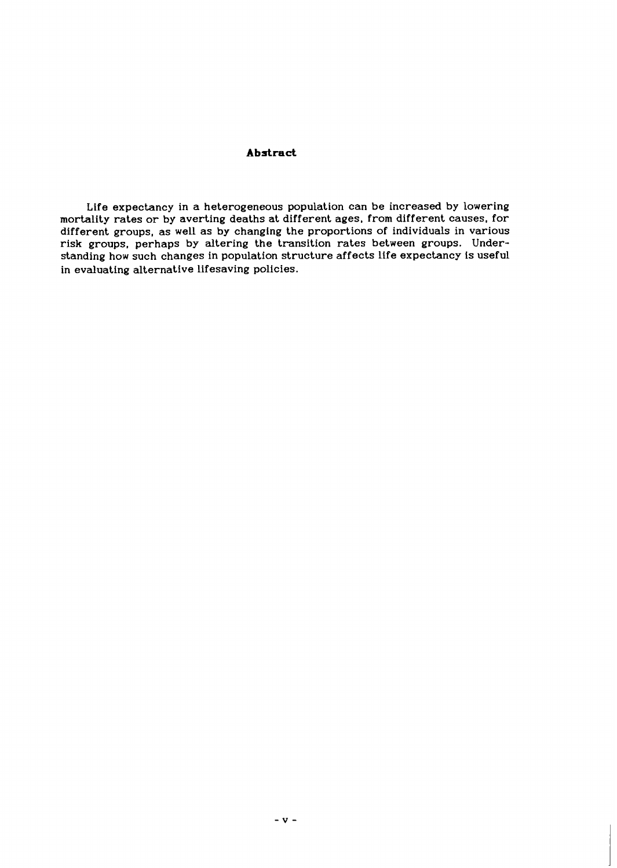# **Abstract**

Life expectancy in a heterogeneous population can be increased by lowering mortality rates or by averting deaths at different ages, from different causes, for different groups, as well as by changing the proportions of individuals in various risk groups, perhaps by altering the transition rates between groups. Understanding how such changes in population structure affects life expectancy is useful in evaluating alternative lifesaving policies.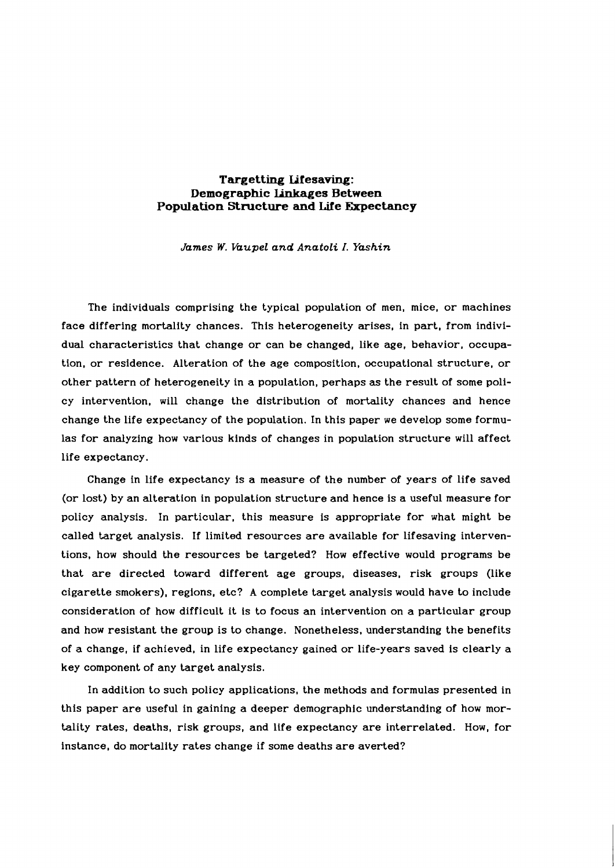# **Targetting Lifesaving: Demographic Linkages Between Population Structure and Life Expectancy**

*James W. Vaupel and Anatoli I. Yashin* 

The individuals comprising the typical population of men, mice, or machines face differing mortality chances. This heterogeneity arises, in part, from individual characteristics that change or can be changed, like age, behavior, occupation, or residence. Alteration of the age composition, occupational structure, or other pattern of heterogeneity in a population, perhaps as the result of some policy intervention, will change the distribution of mortality chances and hence change the life expectancy of the population. In this paper we develop some formulas for analyzing how various kinds of changes in population structure will affect life expectancy.

Change in life expectancy is a measure of the number of years of life saved (or lost) by an alteration in population structure and hence is a useful measure for policy analysis. In particular, this measure is appropriate for what might be called target analysis. If limited resources are available for lifesaving interventions, how should the resources be targeted? How effective would programs be that are directed toward different age groups, diseases, risk groups (like cigarette smokers), regions, etc? A complete target analysis would have to include consideration of how difficult it is to focus an intervention on a particular group and how resistant the group is to change. Nonetheless, understanding the benefits of a change, if achieved, in life expectancy gained or life-years saved is clearly a key component of any target analysis.

In addition to such policy applications, the methods and formulas presented in this paper are useful in gaining a deeper demographic understanding of how mortality rates, deaths, risk groups, and life expectancy are interrelated. How, for instance, do mortality rates change if some deaths are averted?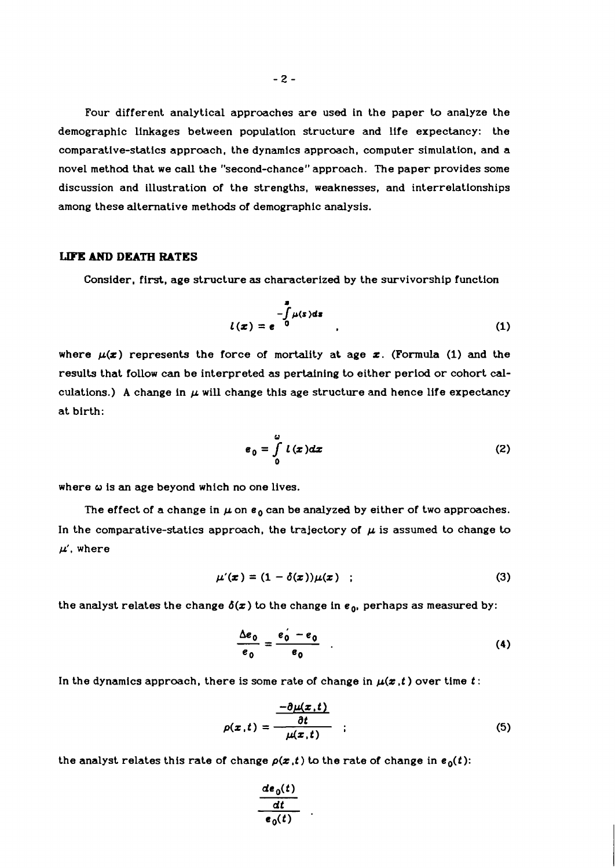Four different analytical approaches are used in the paper to analyze the demographic linkages between population structure and life expectancy: the comparative-statics approach, the dynamics approach, computer simulation, and a novel method that we call the "second-chance" approach. The paper provides some discussion and illustration of the strengths, weaknesses, and interrelationships among these alternative methods of demographic analysis.

### LIFE AND **DEATH RATES**

Consider, first, age structure **as** characterized by the survivorship function

$$
l(x) = e^{-\int_{0}^{x} \mu(s)ds}
$$
 (1)

where  $\mu(x)$  represents the force of mortality at age  $x$ . (Formula (1) and the results that follow can be interpreted as pertaining to either period or cohort calculations.) A change in  $\mu$  will change this age structure and hence life expectancy at birth:

$$
\mathbf{e}_0 = \int_0^{\omega} l(x) dx \tag{2}
$$

where **o** is an age beyond which no one lives.

The effect of a change in  $\mu$  on  $\epsilon_0$  can be analyzed by either of two approaches. In the comparative-statics approach, the trajectory of  $\mu$  is assumed to change to  $\mu'$ , where

$$
\mu'(\pmb{x}) = (1 - \delta(\pmb{x}))\mu(\pmb{x}) \quad ; \tag{3}
$$

the analyst relates the change  $\delta(x)$  to the change in  $e_0$ , perhaps as measured by:

$$
\frac{\Delta e_0}{e_0} = \frac{e_0' - e_0}{e_0} \tag{4}
$$

In the dynamics approach, there is some rate of change in  $\mu(x, t)$  over time t:

$$
\rho(x,t) = \frac{\frac{-\partial \mu(x,t)}{\partial t}}{\mu(x,t)} \qquad (5)
$$

the analyst relates this rate of change  $\rho(x,t)$  to the rate of change in  $e_0(t)$ :

$$
\frac{\frac{d e_0(t)}{dt}}{e_0(t)}
$$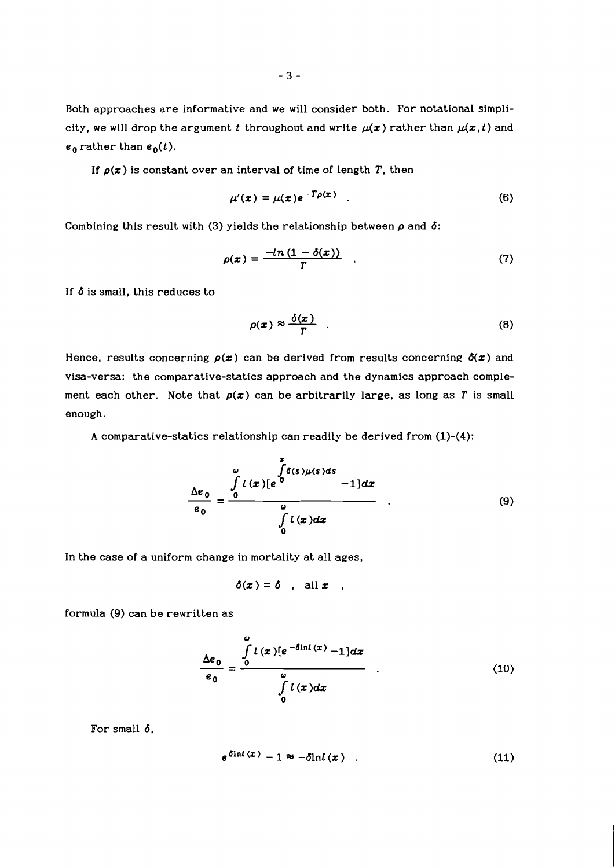Both approaches are informative and we will consider both. For notational simplicity, we will drop the argument t throughout and write  $\mu(x)$  rather than  $\mu(x,t)$  and  $e_0$  rather than  $e_0(t)$ .

If  $p(x)$  is constant over an interval of time of length T, then

$$
\mu'(\boldsymbol{x}) = \mu(\boldsymbol{x}) e^{-T\rho(\boldsymbol{x})} \quad . \tag{6}
$$

Combining this result with (3) yields the relationship between  $\rho$  and  $\delta$ :

$$
\rho(x) = \frac{-\ln\left(1 - \delta(x)\right)}{T} \quad . \tag{7}
$$

If  $\delta$  is small, this reduces to

$$
\rho(x) \approx \frac{\delta(x)}{T} \quad . \tag{8}
$$

Hence, results concerning  $p(x)$  can be derived from results concerning  $\delta(x)$  and visa-versa: the comparative-statics approach and the dynamics approach complement each other. Note that  $p(x)$  can be arbitrarily large, as long as T is small enough.

A comparative-statics relationship can readily be derived from (1)-(4):

$$
\frac{\Delta e_0}{e_0} = \frac{\int\limits_0^{\omega} l(x)[e^{\frac{x}{0}} - 1]dx}{\int\limits_0^{\omega} l(x)dx}
$$
\n(9)

In the case of a uniform change in mortality at all ages,

$$
\delta(x) = \delta \quad \text{all } x \quad .
$$

formula (9) can be rewritten as

$$
\frac{\Delta e_0}{e_0} = \frac{\int\limits_0^{\omega} l(x)[e^{-\delta \ln l(x)} - 1]dx}{\int\limits_0^{\omega} l(x)dx}
$$
\n(10)

For small  $\delta$ ,

$$
e^{\delta \ln l\,(x)}-1\approx -\delta \ln l\,(x) \qquad (11)
$$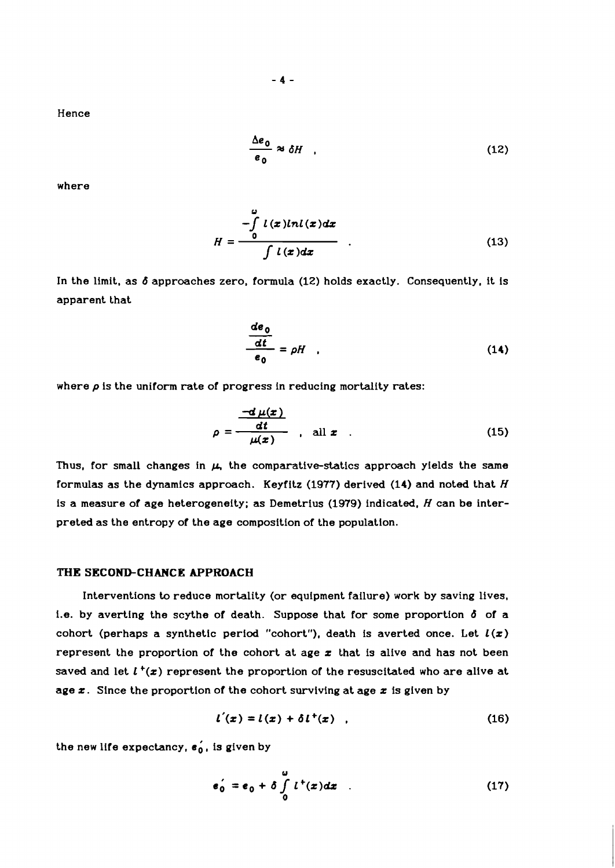Hence

$$
\frac{\Delta e_0}{e_0} \approx \delta H \quad , \tag{12}
$$

where

$$
H = \frac{\int_{0}^{2} l(x)lnl(x)dx}{\int l(x)dx}
$$
 (13)

In the limit, as *b* approaches zero, formula (12) holds exactly. Consequently, it is apparent that

$$
\frac{de_0}{dt} = \rho H \quad . \tag{14}
$$

where  $\rho$  is the uniform rate of progress in reducing mortality rates:

$$
\rho = \frac{-d \mu(x)}{\mu(x)} \quad \text{all } x \quad . \tag{15}
$$

Thus, for small changes in  $\mu$ , the comparative-statics approach yields the same formulas as the dynamics approach. Keyfitz (1977) derived  $(14)$  and noted that  $H$ is a measure of age heterogeneity; as Demetrius (1979) indicated,  $H$  can be interpreted as the entropy of the age composition of the population.

#### **THE SECOND-CHANCE APPROACH**

Interventions to reduce mortality (or equipment failure) work by saving lives, i.e. by averting the scythe of death. Suppose that for some proportion **6** of a cohort (perhaps a synthetic period "cohort"), death is averted once. Let  $l(x)$ represent the proportion of the cohort at age  $x$  that is alive and has not been saved and let  $l^+(x)$  represent the proportion of the resuscitated who are alive at age  $x$ . Since the proportion of the cohort surviving at age  $x$  is given by

$$
l'(x) = l(x) + \delta l^{+}(x) \quad , \tag{16}
$$

the new life expectancy,  $\epsilon_0$ , is given by

$$
e_0' = e_0 + \delta \int_0^u l^+(x) dx \qquad (17)
$$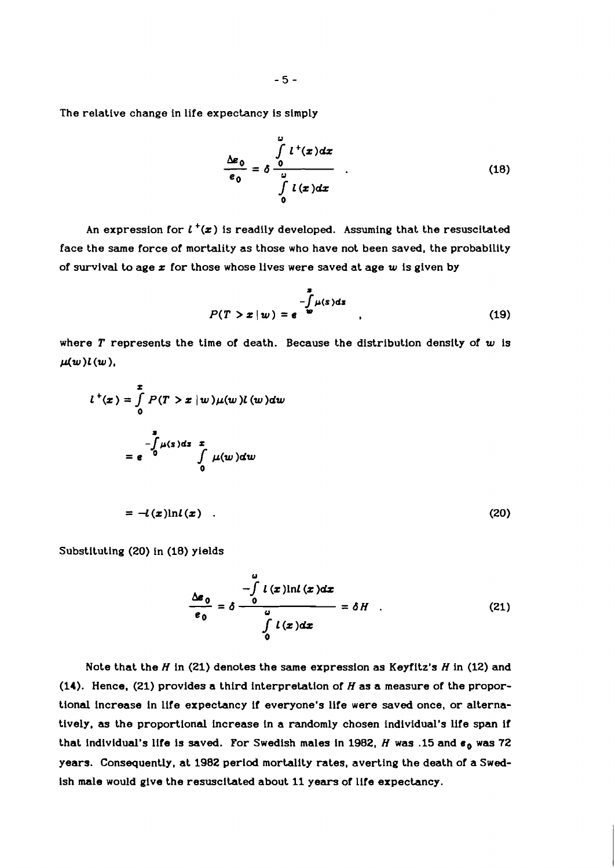The relative change in life expectancy is simply

$$
\frac{\Delta \varepsilon_0}{\varepsilon_0} = \delta \frac{\int\limits_0^{\omega} l^+(x) dx}{\int\limits_0^{\omega} l(x) dx} \qquad . \tag{18}
$$

An expression for  $l^+(\boldsymbol{x})$  is readily developed. Assuming that the resuscitated face the same force of mortality as those who have not been saved, the probability of survival to age **z** for those whose lives were saved at age **w** is given by

$$
P(T > x \mid w) = e^{-\int_{\omega}^{3} \mu(s) ds} \tag{19}
$$

where T represents the time of death. Because the distribution density of **w** is  $\mu(w)l(w)$ ,

$$
l^{+}(x) = \int_{0}^{x} P(T > x | w) \mu(w) l (w) dw
$$
  

$$
= e^{-\int_{0}^{x} \mu(s) ds} \int_{0}^{x} \mu(w) dw
$$
  

$$
= -l(x) \ln l(x) . \qquad (20)
$$

Substituting **(20)** in **(18)** yields

$$
\frac{\Delta \varepsilon_0}{\varepsilon_0} = \delta \frac{-\int\limits_0^{\omega} l(x) \ln l(x) dx}{\int\limits_0^{\omega} l(x) dx} = \delta H \quad . \tag{21}
$$

Note that the H in **(21)** denotes the same expression as Keyfitz's H in **(12)** and **(14).** Hence, **(21)** provides a third interpretation of H as a measure of the proportional increase in life expectancy if everyone's life were saved once, or alternatively, as the proportional increase in a randomly chosen individual's life span if that individual's life is saved. For Swedish males in 1982,  $H$  was .15 and  $\epsilon_0$  was 72 years. Consequently, at **1982** period mortality rates, averting the death of a Swedish male would give the resuscitated about **11** years of life expectancy.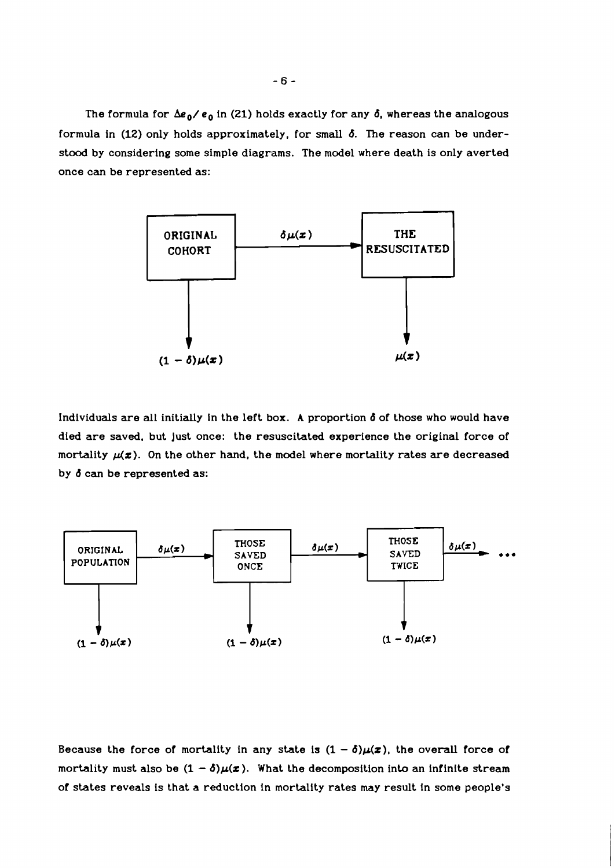The formula for  $\Delta e_0 / e_0$  in (21) holds exactly for any  $\delta$ , whereas the analogous formula in **(12)** only holds approximately, for small **6.** The reason can be understood by considering some simple diagrams. The model where death is only averted once can be represented as:



Individuals are all initially in the left box. A proportion **6** of those who would have died are saved. but just once: the resuscitated experience the original force of mortality  $\mu(\mathbf{z})$ . On the other hand, the model where mortality rates are decreased by **6** can be represented as:



Because the force of mortality in any state is  $(1 - \delta)\mu(x)$ , the overall force of mortality must also be  $(1 - \delta)\mu(x)$ . What the decomposition into an infinite stream of states reveals is that a reduction in mortality rates may result in some people's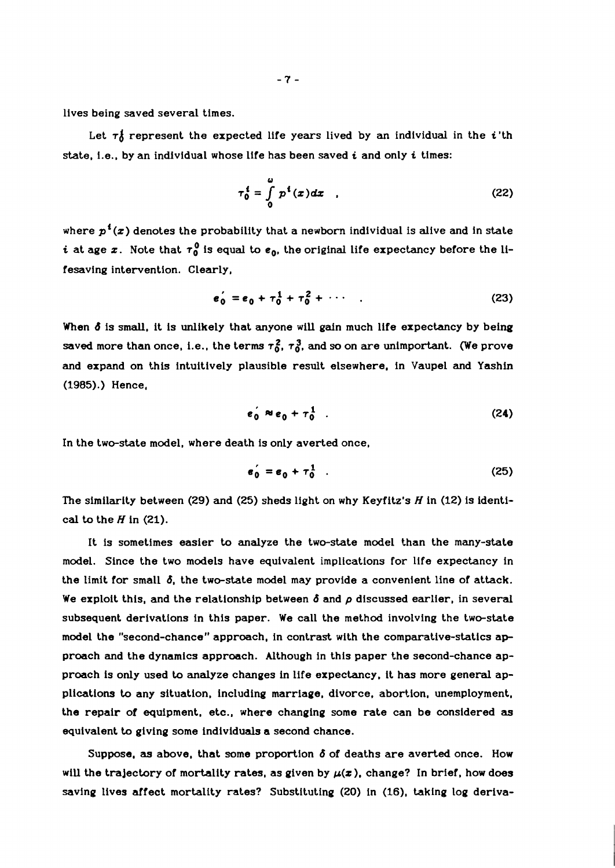lives being saved several times.

Let  $\tau_0^i$  represent the expected life years lived by an individual in the *i*'th state, i.e., by an individual whose life has been saved **i** and only t times:

$$
\tau_0^i = \int_0^u p^i(x) dx \quad . \tag{22}
$$

where  $p^{\mathfrak{t}}(x)$  denotes the probability that a newborn individual is alive and in state *i* at age x. Note that  $\tau_0^0$  is equal to  $e_0$ , the original life expectancy before the lifesaving intervention. Clearly,

$$
e_0' = e_0 + \tau_0^1 + \tau_0^2 + \cdots \qquad (23)
$$

When  $\delta$  is small, it is unlikely that anyone will gain much life expectancy by being saved more than once, i.e., the terms  $\tau_0^2$ ,  $\tau_0^3$ , and so on are unimportant. (We prove and expand on this intuitively plausible result elsewhere, in Vaupel and Yashin (1985).) Hence,

$$
e_0^{\prime} \approx e_0 + \tau_0^1 \tag{24}
$$

In the two-state model, where death is only averted once,

$$
\mathbf{e}_0^{\prime} = \mathbf{e}_0 + \tau_0^1 \quad . \tag{25}
$$

The similarity between (29) and (25) sheds light on why Keyfitz's  $H$  in (12) is identical to the  $H$  in (21).

It is sometimes easier to analyze the two-state model than the many-state model. Since the two models have equivalent implications for life expectancy in the limit for small  $\delta$ , the two-state model may provide a convenient line of attack. We exploit this, and the relationship between 6 and **p** discussed earlier, in several subsequent derivations in this paper. We call the method involving the two-state model the "second-chance" approach, in contrast with the comparative-statics approach and the dynamics approach. Although in this paper the second-chance approach is only used to analyze changes in life expectancy. it has more general applications to any situation, including marriage, divorce, abortion, unemployment, the repair of equipment, etc., where changing some rate can be considered **as**  equivalent to giving some individuals a second chance.

Suppose, **as** above, that some proportion 6 of deaths are averted once. How will the trajectory of mortality rates, as given by  $\mu(x)$ , change? In brief, how does saving lives affect mortality rates? Substituting (20) in (16), taking log deriva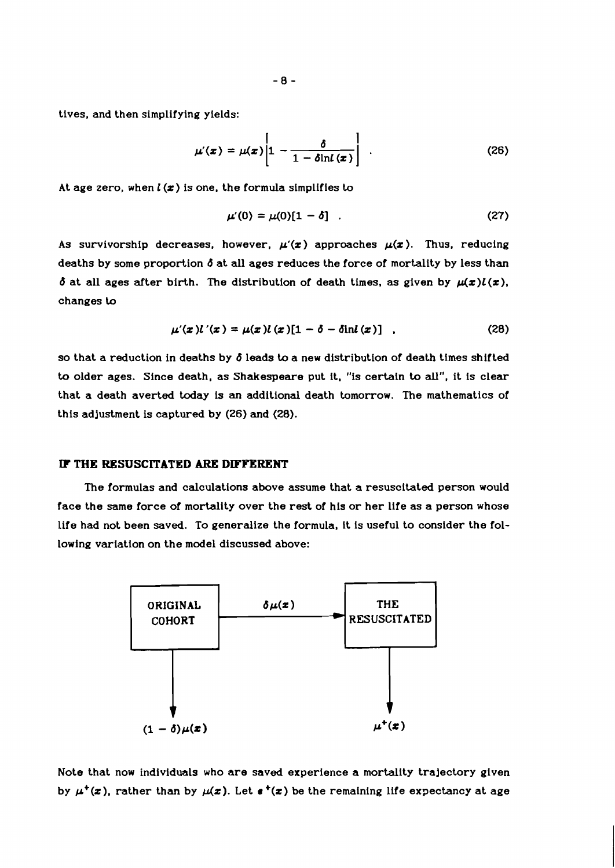tives, and then simplifying yields:

$$
\mu'(x) = \mu(x) \left[ 1 - \frac{\delta}{1 - \delta \ln l(x)} \right] \quad . \tag{26}
$$

At age zero, when  $l(x)$  is one, the formula simplifies to

$$
\mu'(0) = \mu(0)[1 - \delta] \quad . \tag{27}
$$

As survivorship decreases, however,  $\mu(x)$  approaches  $\mu(x)$ . Thus, reducing deaths by some proportion *b* at **all** ages reduces the force of mortality by less than  $\delta$  at all ages after birth. The distribution of death times, as given by  $\mu(x)l(x)$ , changes *to* 

$$
\mu'(x)l'(x) = \mu(x)l(x)[1 - \delta - \delta \ln l(x)] \quad , \tag{28}
$$

so that a reduction in deaths by *b* leads to a new distribution of death times shifted to older ages. Since death, as Shakespeare put it. "is certain to **all",** it is clear that a death averted today is an additional death tomorrow. The mathematics of this adjustment is captured by *(26)* and *(28).* 

#### **IF THE RESUSCITATED ARE DIFFERENT**

The formulas and calculations above assume that a resuscitated person would face the same force of mortality over the rest of his or her life as a person whose life had not been saved. To generalize the formula, it is useful to consider the following variation on the model discussed above:



Note that now individuals who are saved experience a mortality trajectory given by  $\mu^+(x)$ , rather than by  $\mu(x)$ . Let  $\mathbf{r}^+(x)$  be the remaining life expectancy at age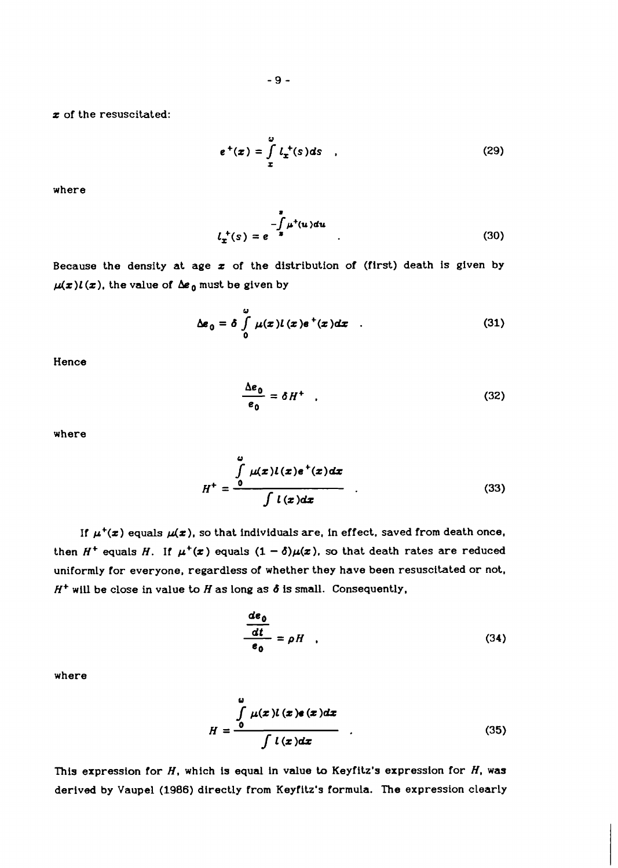z of the resuscitated:

$$
e^{+}(x) = \int\limits_{x}^{\omega} l_{x}^{+}(s) ds \quad , \tag{29}
$$

where

$$
l_{\mathbf{x}}^{+}(s) = e^{-\int_{s}^{s} \mu^{+}(u) du}
$$
 (30)

Because the density at age  $x$  of the distribution of (first) death is given by  $\mu(x)l(x)$ , the value of  $\Delta e_0$  must be given by

$$
\Delta \boldsymbol{\varepsilon}_0 = \delta \int\limits_0^\omega \mu(\boldsymbol{x}) l(\boldsymbol{x}) \boldsymbol{\varepsilon}^+(\boldsymbol{x}) d\boldsymbol{x} \quad . \tag{31}
$$

Hence

$$
\frac{\Delta e_0}{e_0} = \delta H^+ \quad . \tag{32}
$$

where

$$
H^+ = \frac{\int\limits_{0}^{a} \mu(x)l(x)e^+(x)dx}{\int l(x)dx}
$$
 (33)

If  $\mu^+(x)$  equals  $\mu(x)$ , so that individuals are, in effect, saved from death once, then  $H^+$  equals H. If  $\mu^+(\boldsymbol{x})$  equals  $(1 - \delta)\mu(\boldsymbol{x})$ , so that death rates are reduced uniformly for everyone, regardless of whether they have been resuscitated or not,  $H^+$  will be close in value to  $H$  as long as  $\delta$  is small. Consequently,

$$
\frac{de_0}{dt} = \rho H \quad . \tag{34}
$$

where

$$
H = \frac{\int_{0}^{a} \mu(x) l(x) e(x) dx}{\int l(x) dx}
$$
 (35)

This expression for  $H$ , which is equal in value to Keyfitz's expression for  $H$ , was derived by Vaupel (1986) directly from Keyfitz's formula. The expression clearly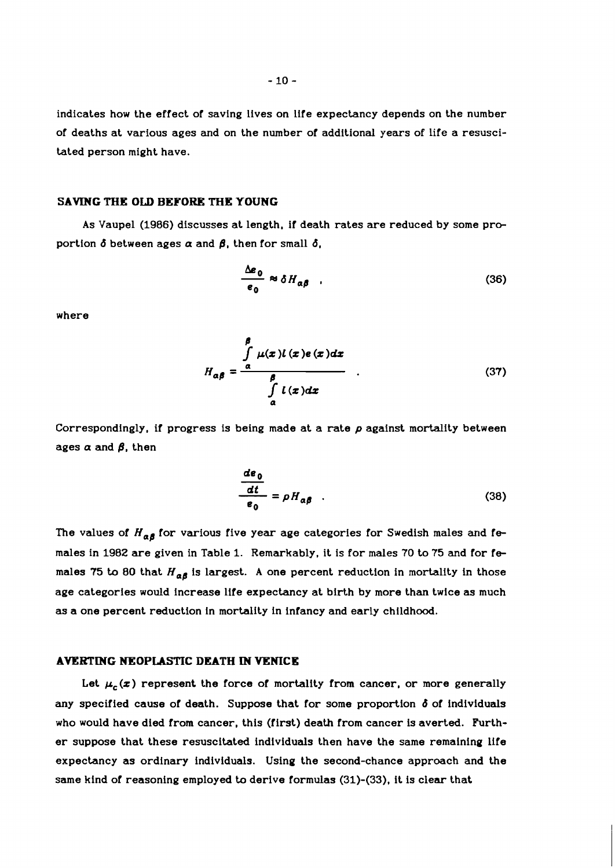$-10-$ 

indicates how the effect of saving lives on life expectancy depends on the number of deaths at various ages and on the number of additional years of life a resuscitated person might have.

#### **SAVING THE OLD BEBORg THE YOUNG**

As Vaupel (1986) discusses at length, if death rates are reduced by some proportion  $\delta$  between ages  $\alpha$  and  $\beta$ , then for small  $\delta$ ,

$$
\frac{\Delta e_0}{e_0} \approx \delta H_{\alpha\beta} \quad . \tag{36}
$$

where

$$
H_{\alpha\beta} = \frac{\int_{\alpha}^{\beta} \mu(x) l(x) e(x) dx}{\int_{\alpha}^{{\beta}} l(x) dx}
$$
 (37)

Correspondingly, if progress is being made at a rate **p** against mortality between ages  $\alpha$  and  $\beta$ , then

$$
\frac{de_0}{\frac{dt}{e_0}} = \rho H_{\alpha\beta} \quad . \tag{38}
$$

The values of  $H_{\alpha\beta}$  for various five year age categories for Swedish males and females in 1982 are given in Table 1. Remarkably, it is for males 70 to 75 and for fe males 75 to 80 that  $H_{\alpha\beta}$  is largest. A one percent reduction in mortality in those age categories would increase life expectancy at birth by more than twice as much as a one percent reduction in mortality in infancy and early childhood.

#### **AVERTING NEOPLASTIC DEATH IN VENICE**

Let  $\mu_c(z)$  represent the force of mortality from cancer, or more generally any specified cause of death. Suppose that for some proportion **d** of individuals who would have died from cancer, this (first) death from cancer is averted. Further suppose that these resuscitated individuals then have the same remaining life expectancy as ordinary individuals. Using the second-chance approach and the same kind of reasoning employed to derive formulas (31)-(33), it is clear that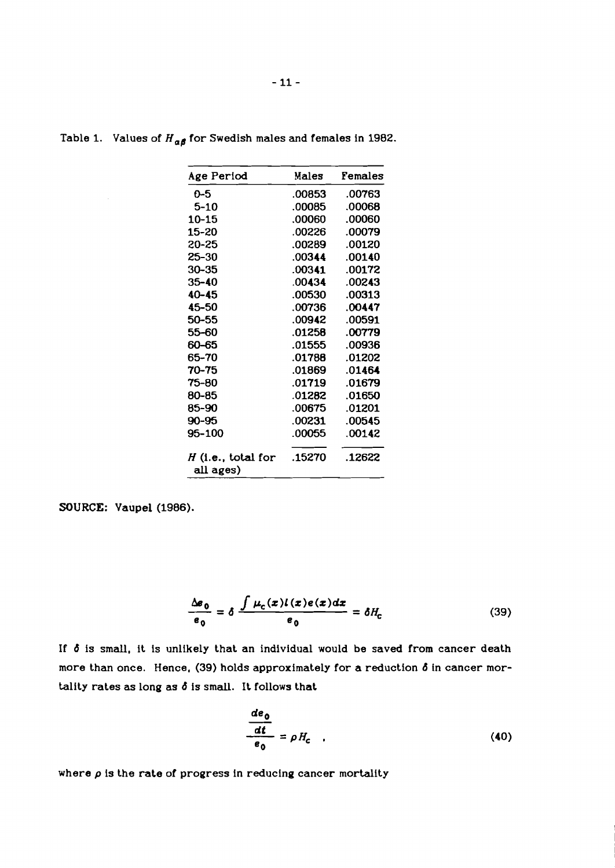| Age Period                        | Males  | Females |
|-----------------------------------|--------|---------|
| ი-5                               | .00853 | .00763  |
| 5-10                              | .00085 | .00068  |
| 10-15                             | .00060 | .00060  |
| 15-20                             | .00226 | .00079  |
| 20-25                             | .00289 | .00120  |
| 25-30                             | .00344 | .00140  |
| 30–35                             | .00341 | .00172  |
| 35-40                             | .00434 | .00243  |
| $40 - 45$                         | .00530 | .00313  |
| 45-50                             | .00736 | .00447  |
| 50–55                             | .00942 | .00591  |
| 55–60                             | .01258 | .00779  |
| 60–65                             | .01555 | .00936  |
| 65–70                             | .01788 | .01202  |
| 70-75                             | .01869 | .01464  |
| 75-80                             | .01719 | .01679  |
| 80-85                             | .01282 | .01650  |
| 85-90                             | .00675 | .01201  |
| 90-95                             | .00231 | .00545  |
| 95-100                            | .00055 | .00142  |
| $H$ (i.e., total for<br>all ages) | .15270 | .12622  |

Table 1. Values of  $H_{\alpha\beta}$  for Swedish males and females in 1982.

**SOURCE:** Vaupel (1986).

$$
\frac{\Delta \varepsilon_0}{\varepsilon_0} = \delta \frac{\int \mu_c(x) l(x) e(x) dx}{\varepsilon_0} = \delta H_c \tag{39}
$$

If  $\delta$  is small, it is unlikely that an individual would be saved from cancer death more than once. Hence, (39) holds approximately for a reduction  $\delta$  in cancer mortality rates as long as **6** is small. It follows that

$$
\frac{de_0}{\frac{dt}{e_0}} = \rho H_c \quad . \tag{40}
$$

where  $\rho$  is the rate of progress in reducing cancer mortality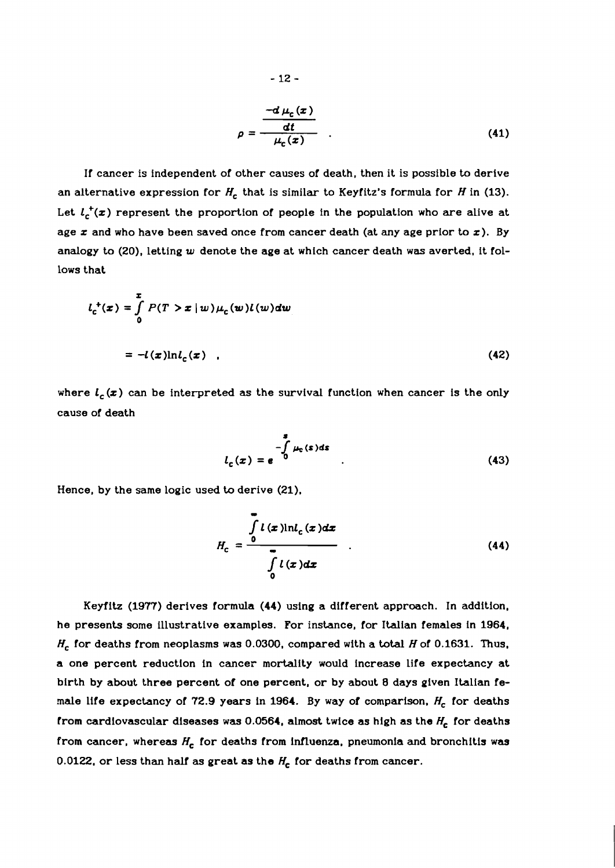$$
\rho = \frac{-d \mu_c(x)}{\mu_c(x)}
$$
\n(41)

If cancer is independent of other causes of death, then it is possible to derive an alternative expression for  $H_c$  that is similar to Keyfitz's formula for H in (13). Let  $l_c^+(x)$  represent the proportion of people in the population who are alive at age  $x$  and who have been saved once from cancer death (at any age prior to  $x$ ). By analogy to (20), letting **w** denote the age at which cancer death was averted, it follows that

$$
l_c^+(x) = \int_0^x P(T > x | w) \mu_c(w) l(w) dw
$$
  
=  $-l(x) \ln l_c(x)$  (42)

where  $l_c(x)$  can be interpreted as the survival function when cancer is the only cause of death

$$
l_c(x) = e^{-\int_0^x \mu_c(s)ds}
$$
 (43)

Hence, by the same logic used to derive (21).

$$
H_c = \frac{\int\limits_{0}^{\infty} l(x) \ln l_c(x) dx}{\int\limits_{0}^{\infty} l(x) dx}
$$
 (44)

Keyfitz (1977) derives formula (44) using a different approach. In addition, he presents some illustrative examples. For instance, for Italian females in 1964, Hc for deaths from neoplasms was 0.0300, compared with a **total** H of 0.1631. Thus, a one percent reduction in cancer mortality would increase life expectancy at birth by about three percent of one percent, or by about 8 days given Italian female life expectancy of 72.9 years in 1964. By way of comparison,  $H_c$  for deaths from cardiovascular diseases was 0.0564, almost twice as high as the  $H_c$  for deaths from cancer, whereas  $H_c$  for deaths from influenza, pneumonia and bronchitis was 0.0122, or less than half as great as the  $H_c$  for deaths from cancer.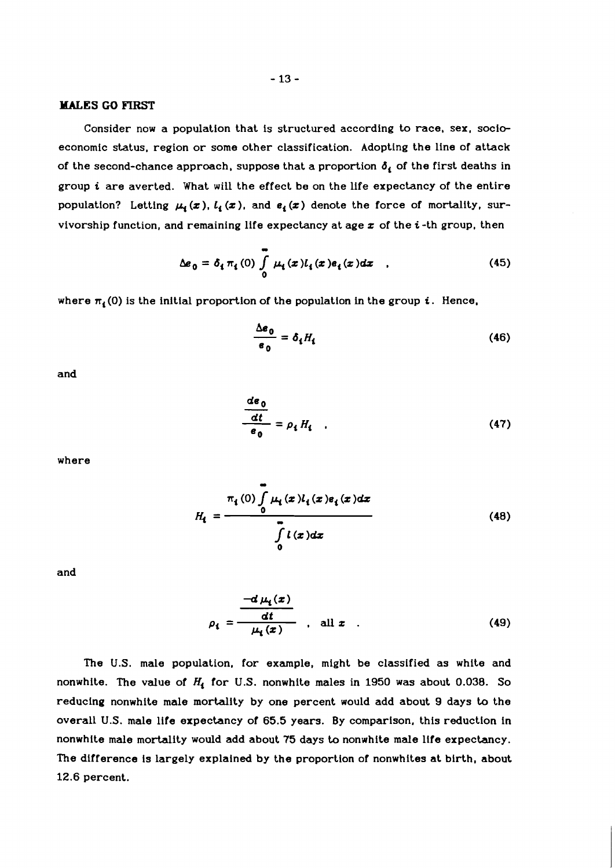# **MALES GO FIRST**

Consider now a population that is structured according to race, sex, socioeconomic status, region or some other classification. Adopting the line of attack of the second-chance approach, suppose that a proportion  $\delta_i$  of the first deaths in group **i** are averted. What will the effect be on the life expectancy of the entire population? Letting  $\mu_i(x)$ ,  $l_i(x)$ , and  $e_i(x)$  denote the force of mortality, survivorship function, and remaining life expectancy at age **z** of the **i** -th group, then

$$
\Delta \boldsymbol{e}_0 = \delta_i \pi_i(0) \int_0^{\infty} \mu_i(x) l_i(x) \boldsymbol{e}_i(x) dx \quad , \tag{45}
$$

where  $\pi_i$  (0) is the initial proportion of the population in the group  $i$ . Hence,

$$
\frac{\Delta \mathbf{e}_0}{\mathbf{e}_0} = \delta_{\mathbf{t}} H_{\mathbf{t}} \tag{46}
$$

and

$$
\frac{d\epsilon_0}{\epsilon_0} = \rho_{\mathbf{t}} H_{\mathbf{t}} \quad . \tag{47}
$$

where

$$
H_{i} = \frac{\pi_{i}(0) \int_{0}^{\infty} \mu_{i}(x) l_{i}(x) e_{i}(x) dx}{\int_{0}^{n} l(x) dx}
$$
 (48)

and

$$
\rho_{\mathbf{t}} = \frac{-d \mu_{\mathbf{t}}(x)}{\frac{dt}{\mu_{\mathbf{t}}(x)}}, \quad \text{all } x \quad . \tag{49}
$$

The **U.S.** male population, for example, might be classified as white and nonwhite. The value of *Hi* for **U.S.** nonwhite males in **1950** was about **0.038.** So reducing nonwhite male mortality by one percent would add about **9** days to the overall **U.S.** male life expectancy of **65.5** years. By comparison, this reduction in nonwhite male mortality would add about **75** days to nonwhite male life expectancy. The difference is largely explained by the proportion of nonwhites at birth, about **12.6** percent.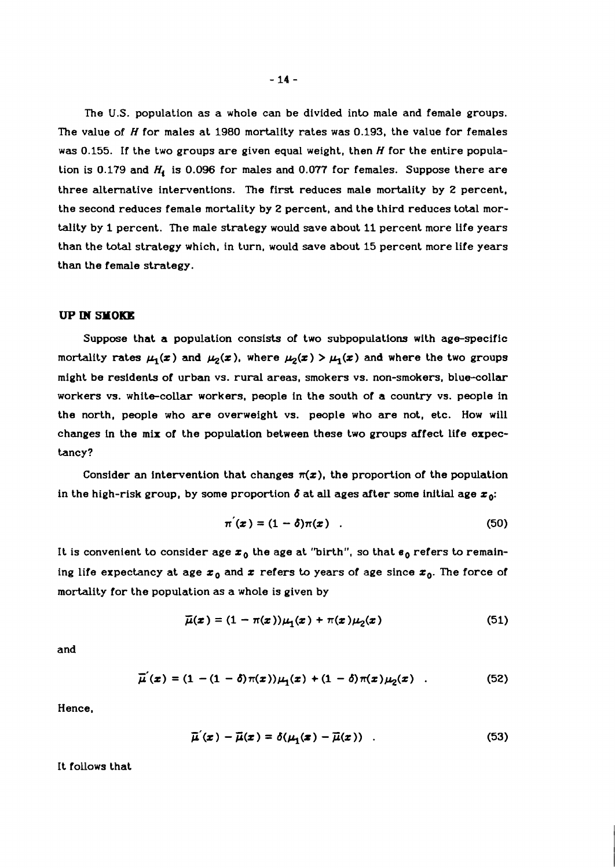The U.S. population as a whole can be divided into male and female groups. The value of H for males at **1980** mortality rates was **0.193,** the value for females was **0.155.** If the two groups are given equal weight, then H for the entire population is **0.179** and *Hi* is **0.096** for males and **0.077** for females. Suppose there are three alternative interventions. The first reduces male mortality by 2 percent, the second reduces female mortality by 2 percent, and the third reduces total mortality by **1** percent. The male strategy would save about **11** percent more life years than the total strategy which, in turn, would save about **15** percent more life years than the female strategy.

#### **UP IN SMOKE**

Suppose that a population consists of two subpopulations with age-specific mortality rates  $\mu_1(x)$  and  $\mu_2(x)$ , where  $\mu_2(x) > \mu_1(x)$  and where the two groups might be residents of urban vs. rural areas, smokers vs. non-smokers, blue-collar workers vs. white-collar workers, people in the south of a country vs. people in the north, people who are overweight vs. people who are not, etc. How will changes in the mix of the population between these two groups affect life expectancy?

Consider an intervention that changes  $\pi(x)$ , the proportion of the population in the high-risk group, by some proportion  $\delta$  at all ages after some initial age  $x_0$ :

$$
\pi^{'}(x) = (1 - \delta)\pi(x) \quad . \tag{50}
$$

It is convenient to consider age  $x_0$  the age at "birth", so that  $e_0$  refers to remaining life expectancy at age  $x_0$  and x refers to years of age since  $x_0$ . The force of mortality for the population as a whole is given by

$$
\overline{\mu}(\boldsymbol{x}) = (1 - \pi(\boldsymbol{x})) \mu_1(\boldsymbol{x}) + \pi(\boldsymbol{x}) \mu_2(\boldsymbol{x}) \qquad (51)
$$

and

$$
\overline{\mu}'(x) = (1 - (1 - \delta)\pi(x))\mu_1(x) + (1 - \delta)\pi(x)\mu_2(x) \quad . \tag{52}
$$

Hence.

$$
\overline{\mu}'(x) - \overline{\mu}(x) = \delta(\mu_1(x) - \overline{\mu}(x)) \quad . \tag{53}
$$

It follows that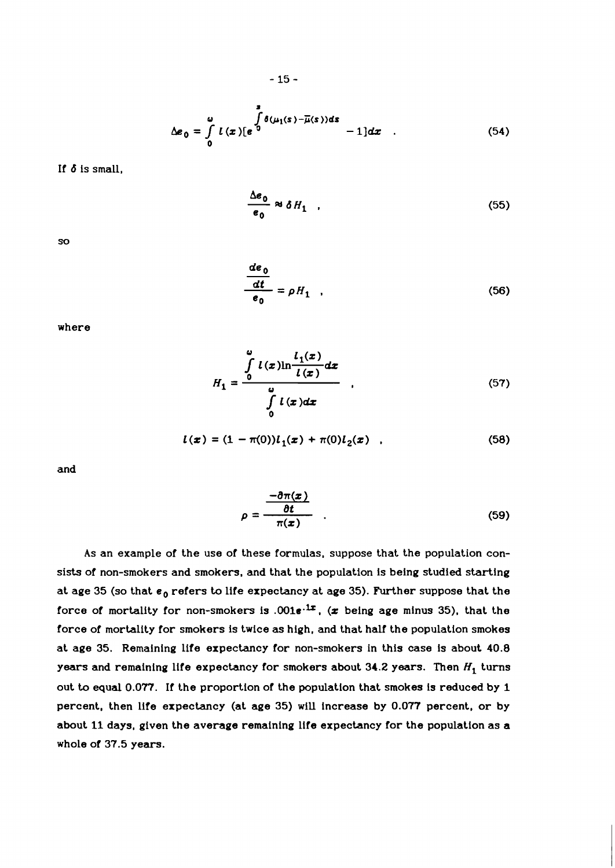$$
\Delta e_0 = \int_0^2 l(x) [e^{\int_0^2 \delta(\mu_1(s) - \overline{\mu}(s))ds} - 1] dx \quad . \tag{54}
$$

If **d** is small,

$$
\frac{\Delta e_0}{e_0} \approx \delta H_1 \quad . \tag{55}
$$

SO

$$
\frac{de_0}{dt} = \rho H_1 \quad . \tag{56}
$$

where

$$
H_1 = \frac{\int\limits_0^a l(x) \ln \frac{l_1(x)}{l(x)} dx}{\int\limits_0^a l(x) dx}
$$
 (57)

$$
l(x) = (1 - \pi(0))l_1(x) + \pi(0)l_2(x) \quad , \tag{58}
$$

and

$$
\rho = \frac{-\partial \pi(x)}{\partial t} \qquad (59)
$$

As an example of the use of these formulas, suppose that the population consists of non-smokers and smokers, and that the population is being studied starting at age 35 (so that  $e_0$  refers to life expectancy at age 35). Further suppose that the force of mortality for non-smokers is  $.001e^{.1x}$ , (x being age minus 35), that the force of mortality for smokers is twice as high, and that half the population smokes at age **35.** Remaining life expectancy for non-smokers in this case is about **40.8**  years and remaining life expectancy for smokers about  $34.2$  years. Then  $H_1$  turns out **to** equal **0.077.** If the proportion of the population that smokes is reduced by 1 percent, then life expectancy (at age **35)** will increase by **0.077** percent, or by about 11 days, given the average remaining life expectancy for the population as a whole of **37.5** years.

$$
-15-
$$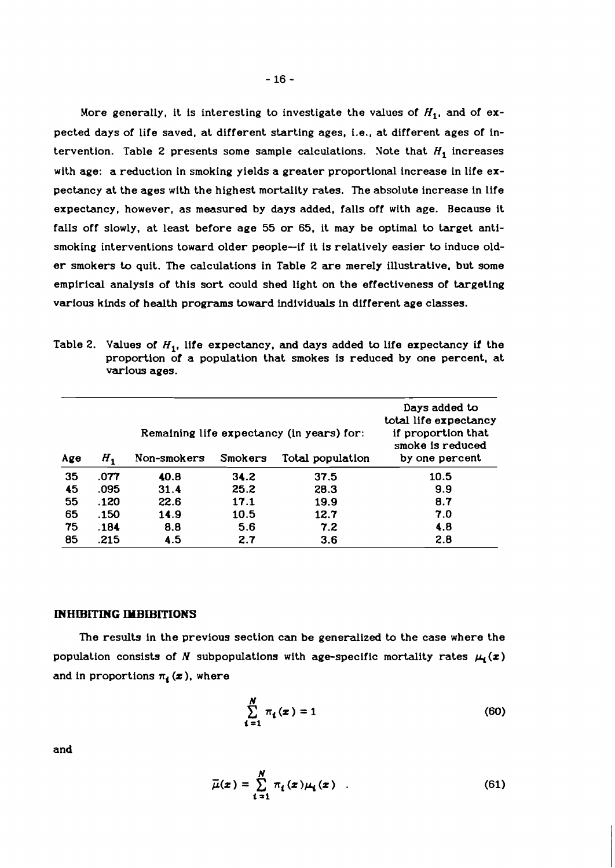More generally, it is interesting to investigate the values of  $H_1$ , and of expected days of life saved, at different starting ages, i.e., at different ages of intervention. Table 2 presents some sample calculations. Note that  $H_1$  increases with age: a reduction in smoking yields a greater proportional increase in life expectancy at the ages with the highest mortality rates. The absolute increase in life expectancy, however, as measured by days added, falls off with age. Because it falls off slowly, at least before age **55** or **65,** it may be optimal to target antismoking interventions toward older people-if it is relatively easier to induce older smokers to quit. The calculations in Table **2** are merely illustrative, but some empirical analysis of this sort could shed light on the effectiveness of targeting various kinds of health programs toward individuals in different age classes.

Table 2.  $\,$  Values of  $H_{\mathbf{1}}$ , life expectancy, and days added to life expectancy if the proportion of a population that smokes is reduced by one percent, at various ages.

| Age | н,   | Non-smokers | Smokers | Remaining life expectancy (in years) for:<br>Total population | Days added to<br>total life expectancy<br>if proportion that<br>smoke is reduced<br>by one percent |
|-----|------|-------------|---------|---------------------------------------------------------------|----------------------------------------------------------------------------------------------------|
| 35  | .077 | 40.8        | 34.2    | 37.5                                                          | 10.5                                                                                               |
| 45  | .095 | 31.4        | 25.2    | 28.3                                                          | 9.9                                                                                                |
| 55  | .120 | 22.6        | 17.1    | 19.9                                                          | 8.7                                                                                                |
| 65  | .150 | 14.9        | 10.5    | 12.7                                                          | 7.0                                                                                                |
| 75  | .184 | 8.8         | 5.6     | 7.2                                                           | 4.8                                                                                                |
| 85  | .215 | 4.5         | 2.7     | 3.6                                                           | 2.8                                                                                                |

#### **INHIBITING IMBIBITIONS**

The results in the previous section can be generalized to the case where the population consists of  $N$  subpopulations with age-specific mortality rates  $\mu_{\mathbf{i}}(\pmb{z})$ and in proportions  $\pi_4(x)$ , where

$$
\sum_{i=1}^{N} \pi_i(x) = 1 \tag{60}
$$

 $\overline{\mu}(x) = \sum_{i=1}^N \pi_i(x) \mu_i(x) \quad .$  $(61)$ 

and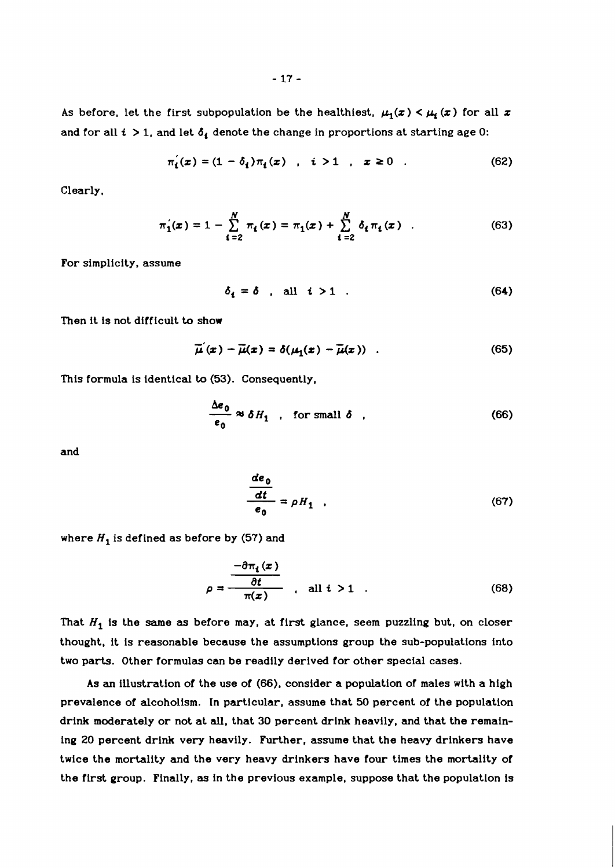As before, let the first subpopulation be the healthiest,  $\mu_1(x) < \mu_i(x)$  for all  $x$ and for all  $i > 1$ , and let  $\delta_i$  denote the change in proportions at starting age 0:

$$
\pi'_{i}(x) = (1 - \delta_{i})\pi_{i}(x) , i > 1 , x \ge 0 . \qquad (62)
$$

Clearly,

$$
\pi_1'(x) = 1 - \sum_{i=2}^N \pi_i(x) = \pi_1(x) + \sum_{i=2}^N \delta_i \pi_i(x) \quad . \tag{63}
$$

For simplicity, assume

$$
\delta_i = \delta \quad \text{all} \quad i > 1 \quad . \tag{64}
$$

Then it is not difficult **ta** show

$$
\overline{\mu}'(x) - \overline{\mu}(x) = \delta(\mu_1(x) - \overline{\mu}(x)) \quad . \tag{65}
$$

This formula is identical **ta** (53). Consequently,

$$
x_{j} - \mu(x) = o(\mu_{1}(x) - \mu(x))
$$
\n(63)\n(53). Consequently,\n
$$
\frac{\Delta e_{0}}{e_{0}} \approx \delta H_{1}
$$
, for small  $\delta$  (66)

and

$$
\frac{de_0}{\frac{dt}{e_0}} = \rho H_1 \quad , \tag{67}
$$

where  $H_1$  is defined as before by (57) and

$$
\rho = \frac{-\partial \pi_i(x)}{\partial t} \qquad \text{all } i > 1 \qquad (68)
$$

That  $H_1$  is the same as before may, at first glance, seem puzzling but, on closer thought, it is reasonable because the assumptions group the sub-populations into two parts. Other formulas can be readily derived for other special cases.

As an illustration of the use of **(66),** consider a population of males with a high prevalence of alcoholism. In particular, assume that 50 percent of the population drink moderately or not at all, that 30 percent drink heavily, and that the remaining 20 percent drink very heavily. Further, assume that the heavy drinkers have twice the mortality and the very heavy drinkers have four times the mortality of the first group. Finally, **as** in the previous example, suppose that the population is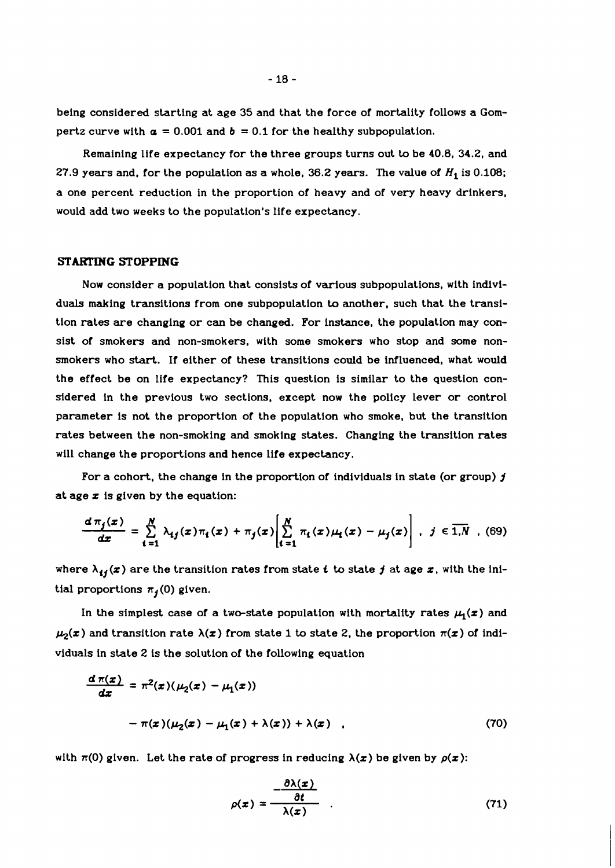being considered starting at age **35** and that the force of mortality follows a Gompertz curve with  $a = 0.001$  and  $b = 0.1$  for the healthy subpopulation.

Remaining life expectancy for the three groups turns out to be 40.8, **34.2,** and 27.9 years and, for the population as a whole,  $36.2$  years. The value of  $H_1$  is 0.108; a one percent reduction in the proportion of heavy and of very heavy drinkers, would add two weeks to the population's life expectancy.

### **STARTING STOPPING**

Now consider a population that consists of various subpopulations, with indlviduals making transitions from one subpopulation to another, such that the transition rates are changing or can be changed. For instance, the population may consist of smokers and non-smokers, with some smokers who stop and some nonsmokers who **start.** If either of these transitions could be influenced, what would the effect be on life expectancy? This question is similar to the question considered in the previous two sections, except now the policy lever or control parameter is not the proportion of the population who smoke, but the transition rates between the non-smoking and smoking states. Changing the transition rates will change the proportions and hence life expectancy.

For a cohort, the change in the proportion of individuals in state (or group)  $j$ at age  $x$  is given by the equation:

$$
\frac{d\,\pi_j(x)}{dx} = \sum_{i=1}^N \lambda_{ij}(x)\pi_i(x) + \pi_j(x)\left[\sum_{i=1}^N \pi_i(x)\mu_i(x) - \mu_j(x)\right], \quad j \in \overline{1,N} \quad (69)
$$

where  $\lambda_{ij}(x)$  are the transition rates from state **i** to state **j** at age **x**, with the initial proportions  $\pi_j(0)$  given.

In the simplest case of a two-state population with mortality rates  $\mu_1(x)$  and  $\mu_2(x)$  and transition rate  $\lambda(x)$  from state 1 to state 2, the proportion  $\pi(x)$  of individuals in state **2** is the solution of the following equation

$$
\frac{d\pi(x)}{dx} = \pi^2(x)(\mu_2(x) - \mu_1(x))
$$

$$
-\pi(x)(\mu_2(x) - \mu_1(x) + \lambda(x)) + \lambda(x) \quad . \tag{70}
$$

with  $\pi(0)$  given. Let the rate of progress in reducing  $\lambda(x)$  be given by  $\rho(x)$ :

$$
\rho(x) = \frac{\frac{\partial \lambda(x)}{\partial t}}{\lambda(x)} \tag{71}
$$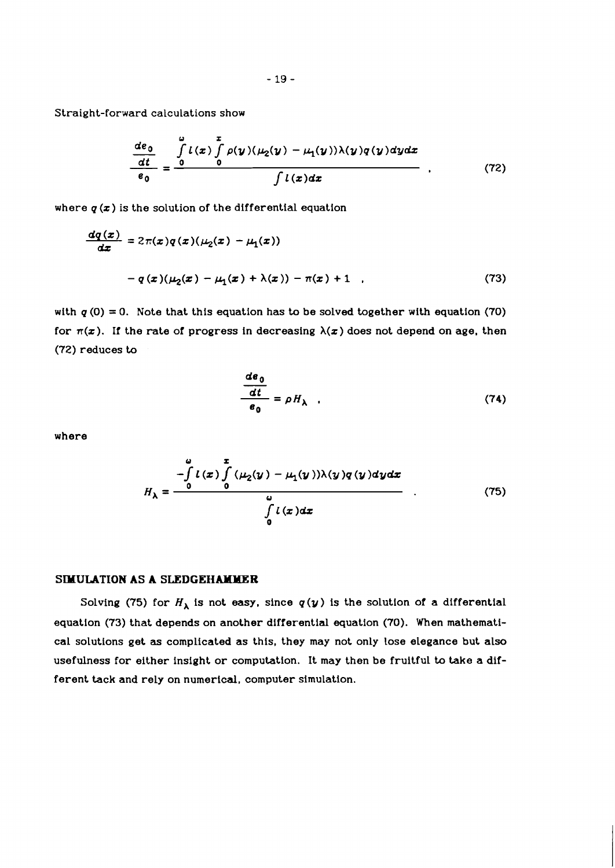Straight-forward calculations show

$$
\frac{\frac{de_0}{dt}}{e_0} = \frac{\int\limits_{0}^{u} l(x) \int\limits_{0}^{x} \rho(y) (\mu_2(y) - \mu_1(y)) \lambda(y) q(y) dy dx}{\int l(x) dx} \qquad (72)
$$

where  $q(x)$  is the solution of the differential equation

$$
\frac{dq(x)}{dx} = 2\pi(x)q(x)(\mu_2(x) - \mu_1(x))
$$

$$
-q(x)(\mu_2(x) - \mu_1(x) + \lambda(x)) - \pi(x) + 1 \quad , \tag{73}
$$

with  $q(0) = 0$ . Note that this equation has to be solved together with equation (70) for  $\pi(x)$ . If the rate of progress in decreasing  $\lambda(x)$  does not depend on age, then *(72)* reduces to

$$
\frac{d\mathbf{e}_0}{dt} = \rho H_\lambda \quad . \tag{74}
$$

where

$$
H_{\lambda} = \frac{-\int_{0}^{2} l(x) \int_{0}^{x} (\mu_{2}(y) - \mu_{1}(y)) \lambda(y) q(y) dy dx}{\int_{0}^{2} l(x) dx}
$$
(75)

# **SIMULATION AS A SLEDGEHAMMER**

Solving (75) for  $H_{\lambda}$  is not easy, since  $q(y)$  is the solution of a differential equation *(73)* that depends on another differential equation *(70).* When mathematical solutions get **as** complicated as this, they may not only lose elegance but also usefulness for either insight or computation. It may then be fruitful to take a different tack and rely on numerical, computer simulation.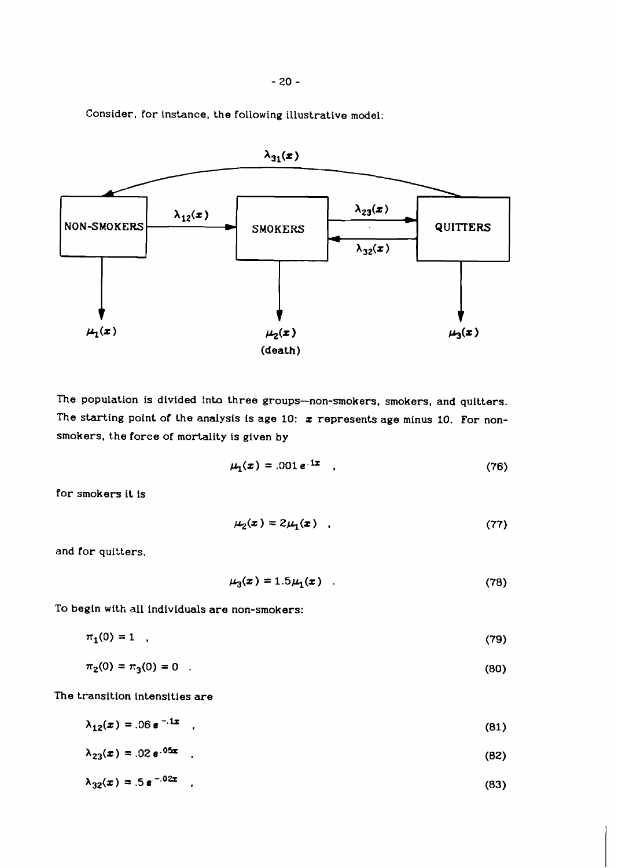Consider, for instance, the following illustrative model:



The population is divided into three groups-non-smokers, smokers, and quitters. The starting point of the analysis is age 10:  $\boldsymbol{x}$  represents age minus 10. For nonsmokers, the force of mortality is given by

$$
\mu_1(x) = .001 e^{-1x} \quad , \tag{76}
$$

for smokers it is

$$
\mu_2(x) = 2\mu_1(x) \quad . \tag{77}
$$

and for quitters,

$$
\mu_3(x) = 1.5\mu_1(x) \quad . \tag{78}
$$

To begin with all individuals are non-smokers:

 $\pi_1(0) = 1$ ,  $(79)$ 

$$
\pi_2(0) = \pi_3(0) = 0 \tag{80}
$$

The transition intensities are

$$
\lambda_{12}(x) = .06 e^{-.1x} \tag{81}
$$

$$
\lambda_{23}(x) = .02 e^{.05x} \tag{82}
$$

$$
\lambda_{32}(x) = .5 e^{-0.2x} \tag{83}
$$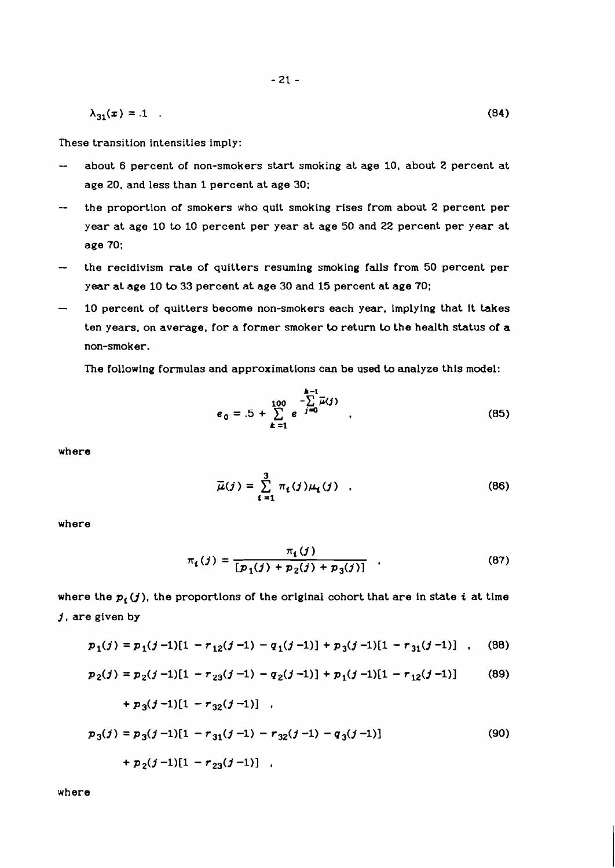$$
\lambda_{31}(x) = 1 \tag{84}
$$

These transition intensities imply:

- about 6 percent of non-smokers start smoking at age 10, about 2 percent at age 20, and less than 1 percent at age 30;
- the proportion of smokers who quit smoking rises from about 2 percent per year at age 10 **to** 10 percent per year at age 50 and 22 percent per year at age 70;
- the recidivism rate of quitters resuming smoking falls from 50 percent per year at age 10 to 33 percent at age 30 and 15 percent at age 70;
- 10 percent of quitters become non-smokers each year, implying that it takes ten years, on average, for a former smoker to return to the health status of a non-smoker.

The following formulas and approximations can be used to analyze this model:

$$
e_0 = .5 + \sum_{k=1}^{100} e^{-\sum_{j=0}^{k-1} \overline{\mu}(j)} \qquad (85)
$$

where

$$
\bar{\mu}(j) = \sum_{i=1}^{3} \pi_i(j)\mu_i(j) \quad . \tag{86}
$$

where

$$
\pi_i(j) = \frac{\pi_i(j)}{[p_1(j) + p_2(j) + p_3(j)]} \quad . \tag{87}
$$

where the  $p_i(j)$ , the proportions of the original cohort that are in state *i* at time **1,** are given by

$$
p_1(j) = p_1(j-1)[1 - r_{12}(j-1) - q_1(j-1)] + p_3(j-1)[1 - r_{31}(j-1)] \quad . \quad (88)
$$

$$
p_2(j) = p_2(j-1)[1 - r_{23}(j-1) - q_2(j-1)] + p_1(j-1)[1 - r_{12}(j-1)] \tag{89}
$$

+ 
$$
p_3(j-1)[1 - r_{32}(j-1)]
$$
  
\n $p_3(j) = p_3(j-1)[1 - r_{31}(j-1) - r_{32}(j-1) - q_3(j-1)]$   
\n+  $p_2(j-1)[1 - r_{23}(j-1)]$  (90)

where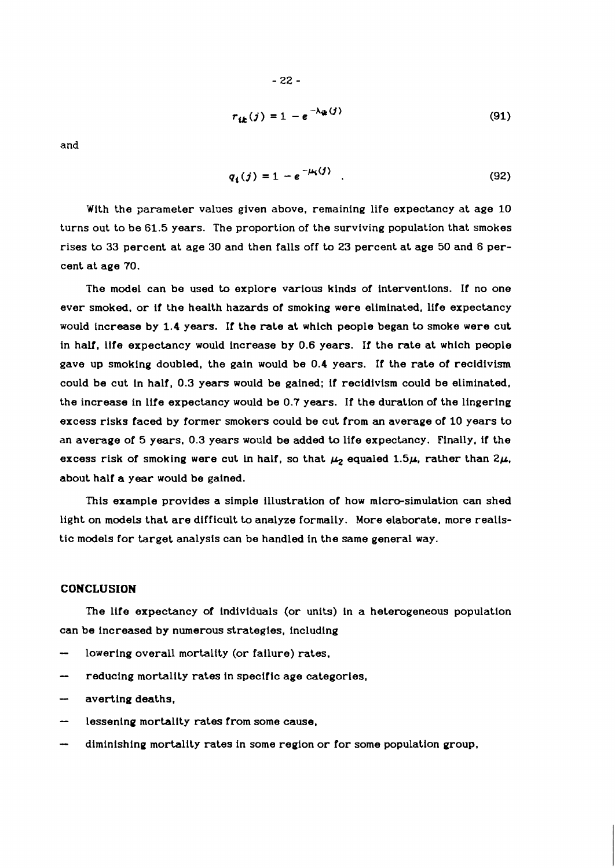$$
r_{ik}(j) = 1 - e^{-\lambda_{ik}(j)}
$$
\n(91)

and

$$
q_1(j) = 1 - e^{-\mu_1(j)} \tag{92}
$$

With the parameter values given above, remaining life expectancy at age **10**  turns out to be **61.5** years. The proportion of the surviving population that smokes rises to **33** percent at age **30** and then falls off to **23** percent at age **50** and **6** percent at age **70.** 

The model can be used to explore various kinds of interventions. If no one ever smoked, or if the health hazards of smoking were eliminated, life expectancy would increase by **1.4** years. If the rate at which people began to smoke were cut in half, life expectancy would increase by **0.6** years. If the rate at which people gave up smoking doubled, the gain would be **0.4** years. If the rate of recidivism could be cut in half, **0.3** years would be gained; if recidivism could be eliminated, the increase in life expectancy would be **0.7** years. If the duration of the lingering excess risks faced by former smokers could be cut from an average of **10** years to an average of 5 years, **0.3** years would be added to life expectancy. Finally, if the excess risk of smoking were cut in half, so that  $\mu_2$  equaled 1.5 $\mu$ , rather than 2 $\mu$ , about half a year would be gained.

This example provides a simple illustration of how micro-simulation can shed light on models that are difficult to analyze formally. More elaborate, more realistic models for target analysis can be handled in the same general way.

#### **CONCLUSION**

The life expectancy of individuals (or units) in a heterogeneous population can be increased by numerous strategies, including

- lowering overall mortality (or failure) rates.
- reducing mortality rates in specific age categories,
- averting deaths,
- lessening mortality rates from some cause,
- diminishing mortality rates in some region or for some population group,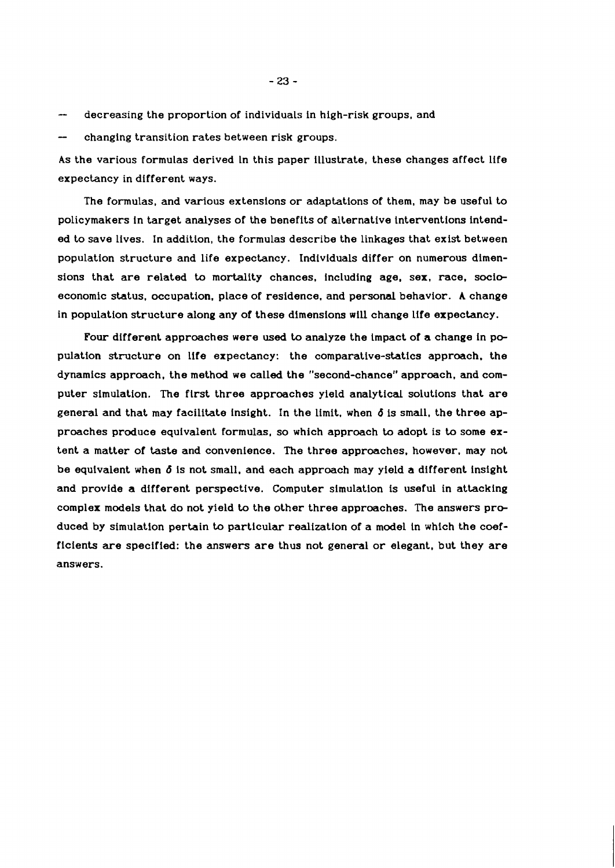decreasing the proportion of individuals in high-risk groups, and

changing transition rates between risk groups.

As the various formulas derived ln this paper illustrate, these changes affect life expectancy in different ways.

The formulas, and various extensions or adaptations of them, may be useful to policymakers in target analyses of the benefits of alternative interventions intended to save lives. In addition, the formulas describe the linkages that exist between population structure and life expectancy. Individuals differ on numerous dimensions that are related to mortality chances, including age, sex. race, socioeconomic status. occupation. place of residence. and personal behavior. A change in population structure along any of these dimensions will change life expectancy.

Four different approaches were **used** to analyze the impact of a change in population strvcture on life expectancy: the comparative-statics approach. the dynamics approach. the method we called the "second-chance" approach. and computer simulation. The first three approaches yield analytical solutions that are general and that may facilitate insight. In the limit. when **d** is small. the three approaches produce equivalent formulas, so which approach to adopt is to some extent a matter of taste and convenience. The three approaches. however. may not be equivalent when **d** is not small. and each approach may yield a different insight and provide a different perspective. Computer simulation is useful in attacking complex models that do not yield to the other three approaches. The answers produced by simulation pertain to particular realization of a model in which the coefficients are specified: the answers are thus not general or elegant. but they are answers.